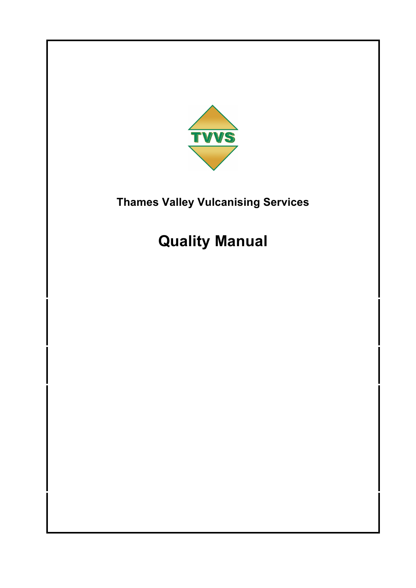

# **Quality Manual**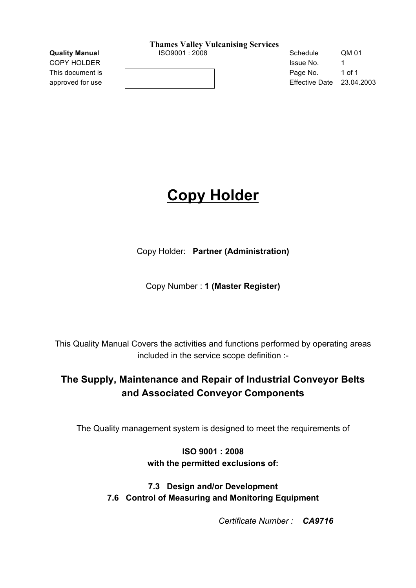**Quality Manual**   $1$ SO9001 : 2008 **Schedule** QM 01

This document is **Page No.** 1 of 1 approved for use **Effective Date 23.04.2003** 

**COPY HOLDER ISSUE NO. 1 ISSUE NO.** 1

# **Copy Holder**

Copy Holder: **Partner (Administration)**

Copy Number : **1 (Master Register)**

This Quality Manual Covers the activities and functions performed by operating areas included in the service scope definition :-

### **The Supply, Maintenance and Repair of Industrial Conveyor Belts and Associated Conveyor Components**

The Quality management system is designed to meet the requirements of

**ISO 9001 : 2008 with the permitted exclusions of:**

**7.3 Design and/or Development 7.6 Control of Measuring and Monitoring Equipment**

*Certificate Number : CA9716*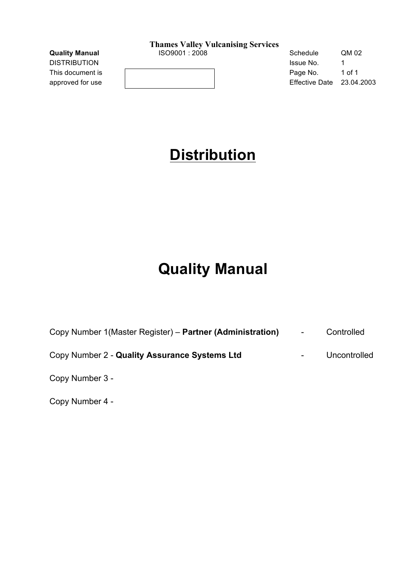| <b>Quality Manual</b> | ISO9001 : 2008 | Schedule              | QM 02      |
|-----------------------|----------------|-----------------------|------------|
| DISTRIBUTION          |                | Issue No.             |            |
| This document is      |                | Page No.              | 1 of 1     |
| approved for use      |                | <b>Effective Date</b> | 23.04.2003 |

# **Distribution**

# **Quality Manual**

| Copy Number 1 (Master Register) – Partner (Administration) | $\sim$                   | Controlled   |
|------------------------------------------------------------|--------------------------|--------------|
| Copy Number 2 - Quality Assurance Systems Ltd              | $\overline{\phantom{a}}$ | Uncontrolled |
| Copy Number 3 -                                            |                          |              |

Copy Number 4 -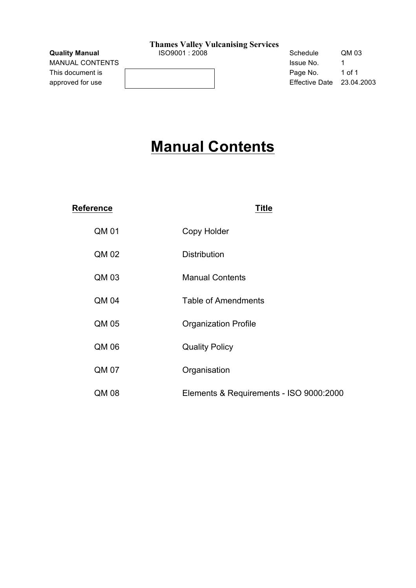MANUAL CONTENTS This document is approved for use

|  | the contract of the contract of the contract of the contract of the contract of the contract of |  |
|--|-------------------------------------------------------------------------------------------------|--|
|  |                                                                                                 |  |
|  |                                                                                                 |  |
|  |                                                                                                 |  |
|  |                                                                                                 |  |
|  |                                                                                                 |  |

| <b>Quality Manual</b> | ISO9001 : 2008 | Schedule              | QM 03      |
|-----------------------|----------------|-----------------------|------------|
| MANUAL CONTENTS       |                | Issue No.             |            |
| This document is      |                | Page No.              | 1 of 1     |
| approved for use      |                | <b>Effective Date</b> | 23.04.2003 |

# **Manual Contents**

| <b>Reference</b> | <b>Title</b>                            |
|------------------|-----------------------------------------|
| QM 01            | Copy Holder                             |
| QM 02            | <b>Distribution</b>                     |
| QM 03            | <b>Manual Contents</b>                  |
| QM 04            | <b>Table of Amendments</b>              |
| QM 05            | <b>Organization Profile</b>             |
| QM 06            | <b>Quality Policy</b>                   |
| QM 07            | Organisation                            |
| QM 08            | Elements & Requirements - ISO 9000:2000 |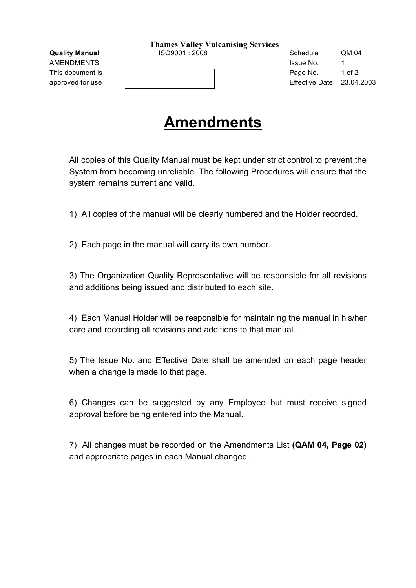AMENDMENTS and the state of the state of the state of the state of the state of the state of the state of the state of the state of the state of the state of the state of the state of the state of the state of the state of

**Quality Manual** ISO9001 : 2008 Schedule QM 04 This document is **Page No.** 1 of 2 approved for use Effective Date 23.04.2003

# **Amendments**

All copies of this Quality Manual must be kept under strict control to prevent the System from becoming unreliable. The following Procedures will ensure that the system remains current and valid.

1) All copies of the manual will be clearly numbered and the Holder recorded.

2) Each page in the manual will carry its own number.

3) The Organization Quality Representative will be responsible for all revisions and additions being issued and distributed to each site.

4) Each Manual Holder will be responsible for maintaining the manual in his/her care and recording all revisions and additions to that manual. .

5) The Issue No. and Effective Date shall be amended on each page header when a change is made to that page.

6) Changes can be suggested by any Employee but must receive signed approval before being entered into the Manual.

7) All changes must be recorded on the Amendments List **(QAM 04, Page 02)** and appropriate pages in each Manual changed.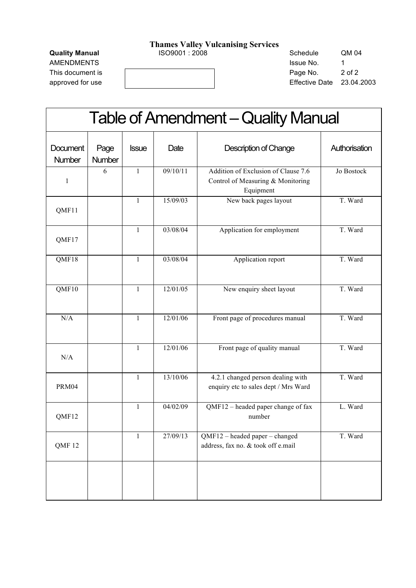This document is a set of 2 of 2 of 2

**Quality Manual** ISO9001 : 2008 Schedule QM 04 AMENDMENTS and the state of the state of the state of the state of the state of the state of the state of the state of the state of the state of the state of the state of the state of the state of the state of the state of approved for use **Effective Date 23.04.2003** 

| <b>Table of Amendment – Quality Manual</b> |                |              |          |                                                                                       |               |
|--------------------------------------------|----------------|--------------|----------|---------------------------------------------------------------------------------------|---------------|
| <b>Document</b><br>Number                  | Page<br>Number | <b>Issue</b> | Date     | <b>Description of Change</b>                                                          | Authorisation |
| $\mathbf{1}$                               | 6              | $\mathbf{1}$ | 09/10/11 | Addition of Exclusion of Clause 7.6<br>Control of Measuring & Monitoring<br>Equipment | Jo Bostock    |
| QMF11                                      |                | 1            | 15/09/03 | New back pages layout                                                                 | T. Ward       |
| QMF17                                      |                | 1            | 03/08/04 | Application for employment                                                            | T. Ward       |
| QMF18                                      |                | $\mathbf{1}$ | 03/08/04 | Application report                                                                    | T. Ward       |
| QMF10                                      |                | $\mathbf{1}$ | 12/01/05 | New enquiry sheet layout                                                              | T. Ward       |
| N/A                                        |                | $\mathbf{1}$ | 12/01/06 | Front page of procedures manual                                                       | T. Ward       |
| N/A                                        |                | 1            | 12/01/06 | Front page of quality manual                                                          | T. Ward       |
| PRM04                                      |                | $\mathbf{1}$ | 13/10/06 | 4.2.1 changed person dealing with<br>enquiry etc to sales dept / Mrs Ward             | T. Ward       |
| QMF12                                      |                | $\mathbf{1}$ | 04/02/09 | QMF12 – headed paper change of fax<br>number                                          | L. Ward       |
| QMF12                                      |                | 1            | 27/09/13 | QMF12 - headed paper - changed<br>address, fax no. & took off e.mail                  | T. Ward       |
|                                            |                |              |          |                                                                                       |               |
|                                            |                |              |          |                                                                                       |               |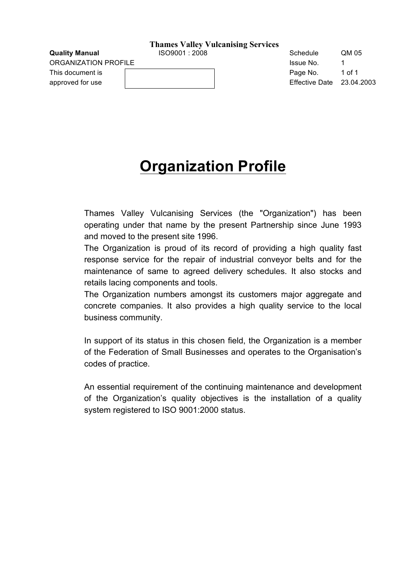ORGANIZATION PROFILE **International CONSTRUCTION** ISSUE No. 1

This document is **Page No.** 1 of 1 approved for use Theorem 23.04.2003

**Quality Manual**   $1$ SO9001 : 2008 **Schedule** QM 05

# **Organization Profile**

Thames Valley Vulcanising Services (the "Organization") has been operating under that name by the present Partnership since June 1993 and moved to the present site 1996.

The Organization is proud of its record of providing a high quality fast response service for the repair of industrial conveyor belts and for the maintenance of same to agreed delivery schedules. It also stocks and retails lacing components and tools.

The Organization numbers amongst its customers major aggregate and concrete companies. It also provides a high quality service to the local business community.

In support of its status in this chosen field, the Organization is a member of the Federation of Small Businesses and operates to the Organisation's codes of practice.

An essential requirement of the continuing maintenance and development of the Organization's quality objectives is the installation of a quality system registered to ISO 9001:2000 status.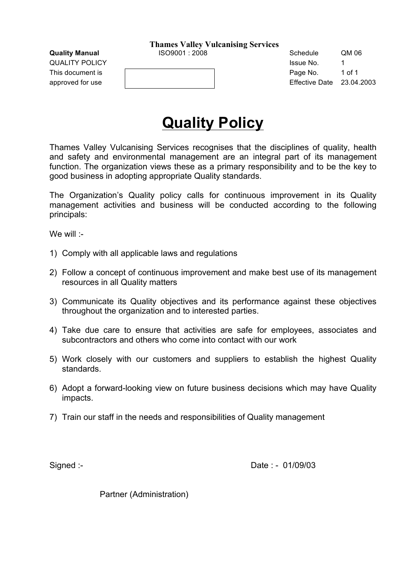QUALITY POLICY **ISSUE NO.** 1 **CONSUMING THE UP AND ISSUE NO.** 1

This document is **Page No.** 1 of 1

**Quality Manual** ISO9001 : 2008 Schedule QM 06 approved for use Theorem 23.04.2003

# **Quality Policy**

Thames Valley Vulcanising Services recognises that the disciplines of quality, health and safety and environmental management are an integral part of its management function. The organization views these as a primary responsibility and to be the key to good business in adopting appropriate Quality standards.

The Organization's Quality policy calls for continuous improvement in its Quality management activities and business will be conducted according to the following principals:

We will :-

- 1) Comply with all applicable laws and regulations
- 2) Follow a concept of continuous improvement and make best use of its management resources in all Quality matters
- 3) Communicate its Quality objectives and its performance against these objectives throughout the organization and to interested parties.
- 4) Take due care to ensure that activities are safe for employees, associates and subcontractors and others who come into contact with our work
- 5) Work closely with our customers and suppliers to establish the highest Quality standards.
- 6) Adopt a forward-looking view on future business decisions which may have Quality impacts.
- 7) Train our staff in the needs and responsibilities of Quality management

Signed :- 201/09/03

Partner (Administration)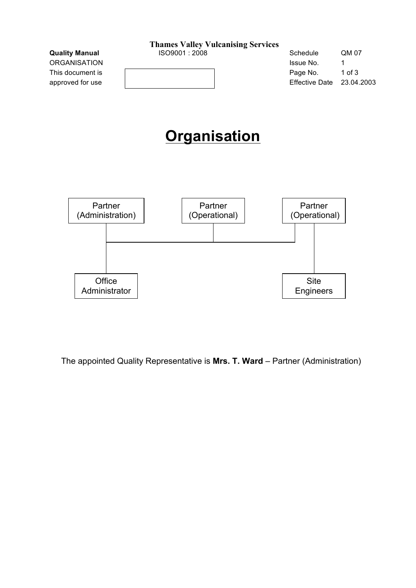|                       | <b>Thames Valley Vulcanising Services</b> |                       |            |
|-----------------------|-------------------------------------------|-----------------------|------------|
| <b>Quality Manual</b> | ISO9001:2008                              | Schedule              | QM 07      |
| <b>ORGANISATION</b>   |                                           | Issue No.             | 1          |
| This document is      |                                           | Page No.              | $1$ of $3$ |
| approved for use      |                                           | <b>Effective Date</b> | 23.04.2003 |
|                       | <b>Organisation</b>                       |                       |            |



The appointed Quality Representative is **Mrs. T. Ward** – Partner (Administration)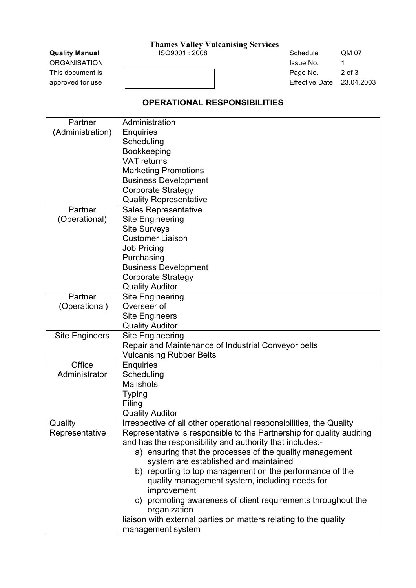**Quality Manual** ISO9001 : 2008 Schedule QM 07 ORGANISATION **ISSUE NO.** 1 This document is a set of 3 and 2 of 3 and 2 of 3 and 2 of 3 approved for use and the contract of the contract of the Effective Date 23.04.2003

#### **OPERATIONAL RESPONSIBILITIES**

| Partner               | Administration                                                                   |
|-----------------------|----------------------------------------------------------------------------------|
| (Administration)      | <b>Enquiries</b>                                                                 |
|                       | Scheduling                                                                       |
|                       | Bookkeeping                                                                      |
|                       | <b>VAT</b> returns                                                               |
|                       | <b>Marketing Promotions</b>                                                      |
|                       | <b>Business Development</b>                                                      |
|                       | <b>Corporate Strategy</b>                                                        |
|                       | <b>Quality Representative</b>                                                    |
| Partner               | <b>Sales Representative</b>                                                      |
| (Operational)         | <b>Site Engineering</b>                                                          |
|                       | <b>Site Surveys</b>                                                              |
|                       | <b>Customer Liaison</b>                                                          |
|                       | <b>Job Pricing</b>                                                               |
|                       | Purchasing                                                                       |
|                       | <b>Business Development</b>                                                      |
|                       | <b>Corporate Strategy</b>                                                        |
|                       | <b>Quality Auditor</b>                                                           |
| Partner               | <b>Site Engineering</b>                                                          |
| (Operational)         | Overseer of                                                                      |
|                       | <b>Site Engineers</b>                                                            |
|                       | <b>Quality Auditor</b>                                                           |
| <b>Site Engineers</b> | <b>Site Engineering</b>                                                          |
|                       | Repair and Maintenance of Industrial Conveyor belts                              |
|                       | <b>Vulcanising Rubber Belts</b>                                                  |
| Office                | <b>Enquiries</b>                                                                 |
| Administrator         | Scheduling                                                                       |
|                       | <b>Mailshots</b>                                                                 |
|                       | <b>Typing</b>                                                                    |
|                       | Filing                                                                           |
|                       | <b>Quality Auditor</b>                                                           |
| Quality               | Irrespective of all other operational responsibilities, the Quality              |
| Representative        | Representative is responsible to the Partnership for quality auditing            |
|                       | and has the responsibility and authority that includes:-                         |
|                       | a) ensuring that the processes of the quality management                         |
|                       | system are established and maintained                                            |
|                       | b) reporting to top management on the performance of the                         |
|                       | quality management system, including needs for                                   |
|                       | improvement                                                                      |
|                       | c) promoting awareness of client requirements throughout the                     |
|                       | organization<br>liaison with external parties on matters relating to the quality |
|                       |                                                                                  |
|                       | management system                                                                |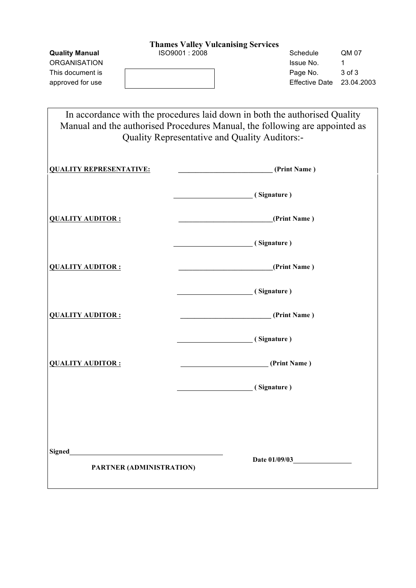ORGANISATION **ISSUE NO.** 1 This document is a set of the Page No. 3 of 3 approved for use and the contract of the contract of the Effective Date 23.04.2003

**Quality Manual COM CONSERVICE SCHEDULE COM CONSERVICE COM OF Schedule COM 07** 

In accordance with the procedures laid down in both the authorised Quality Manual and the authorised Procedures Manual, the following are appointed as Quality Representative and Quality Auditors:-

| <b>QUALITY REPRESENTATIVE:</b>                      | (Print Name)         |
|-----------------------------------------------------|----------------------|
|                                                     | (Signature)          |
| <b>QUALITY AUDITOR:</b>                             | (Print Name)         |
|                                                     | (Signature)          |
| <b>QUALITY AUDITOR:</b>                             | (Print Name)         |
|                                                     | (Signature)          |
| <b>QUALITY AUDITOR:</b>                             | (Print Name)         |
|                                                     | (Signature)          |
| <b>QUALITY AUDITOR:</b>                             | (Print Name)         |
|                                                     | (Signature)          |
|                                                     |                      |
|                                                     |                      |
| Signed<br><u>Signed</u><br>PARTNER (ADMINISTRATION) | <b>Date 01/09/03</b> |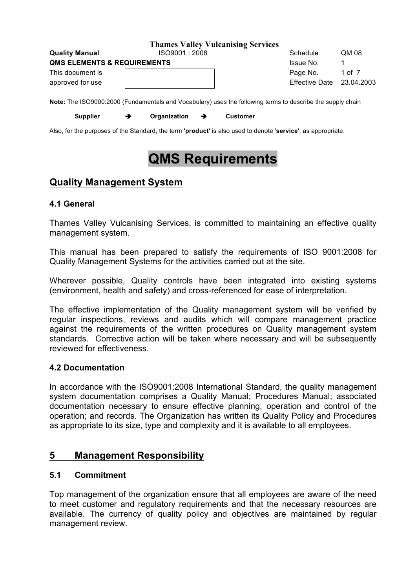|                                        | <b>Thames Valley Vulcanising Services</b>                                                                         |                           |          |
|----------------------------------------|-------------------------------------------------------------------------------------------------------------------|---------------------------|----------|
| <b>Quality Manual</b>                  | ISO9001:2008                                                                                                      | Schedule                  | QM 08    |
| <b>QMS ELEMENTS &amp; REQUIREMENTS</b> |                                                                                                                   | Issue No.                 |          |
| This document is                       |                                                                                                                   | Page No.                  | 1 of $7$ |
| approved for use                       |                                                                                                                   | Effective Date 23.04.2003 |          |
|                                        | <b>Note:</b> The ISO9000:2000 (Fundamentals and Vocabulary) uses the following terms to describe the supply chain |                           |          |

**Note:** The ISO9000:2000 (Fundamentals and Vocabulary) uses the following terms to describe the supply chain

Supplier → Organization → Customer

Also, for the purposes of the Standard, the term **'product'** is also used to denote '**service'**, as appropriate.

# **QMS Requirements**

### **Quality Management System**

### **4.1 General**

Thames Valley Vulcanising Services, is committed to maintaining an effective quality management system.

This manual has been prepared to satisfy the requirements of ISO 9001:2008 for Quality Management Systems for the activities carried out at the site.

Wherever possible, Quality controls have been integrated into existing systems (environment, health and safety) and cross-referenced for ease of interpretation.

The effective implementation of the Quality management system will be verified by regular inspections, reviews and audits which will compare management practice against the requirements of the written procedures on Quality management system standards. Corrective action will be taken where necessary and will be subsequently reviewed for effectiveness.

### **4.2 Documentation**

In accordance with the ISO9001:2008 International Standard, the quality management system documentation comprises a Quality Manual; Procedures Manual; associated documentation necessary to ensure effective planning, operation and control of the operation; and records. The Organization has written its Quality Policy and Procedures as appropriate to its size, type and complexity and it is available to all employees.

### **5 Management Responsibility**

### **5.1 Commitment**

Top management of the organization ensure that all employees are aware of the need to meet customer and regulatory requirements and that the necessary resources are available. The currency of quality policy and objectives are maintained by regular management review.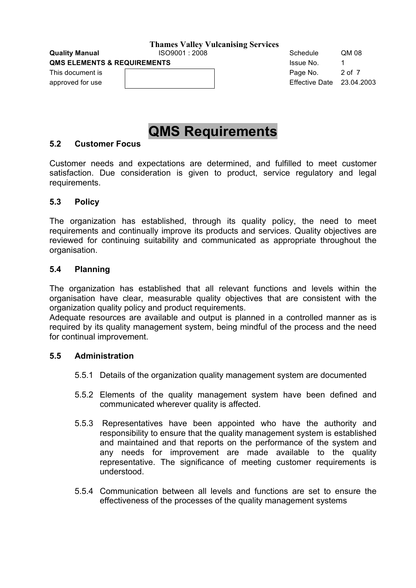**QMS ELEMENTS & REQUIREMENTS ISSUE NO.** 1

This document is **Example 2** of 7 and 2 of 7 and 2 of 7 and 2 of 7

**Quality Manual**   $1$ SO9001 : 2008 **Schedule** QM 08 approved for use Effective Date 23.04.2003

### **QMS Requirements**

#### **5.2 Customer Focus**

Customer needs and expectations are determined, and fulfilled to meet customer satisfaction. Due consideration is given to product, service regulatory and legal requirements.

#### **5.3 Policy**

The organization has established, through its quality policy, the need to meet requirements and continually improve its products and services. Quality objectives are reviewed for continuing suitability and communicated as appropriate throughout the organisation.

#### **5.4 Planning**

The organization has established that all relevant functions and levels within the organisation have clear, measurable quality objectives that are consistent with the organization quality policy and product requirements.

Adequate resources are available and output is planned in a controlled manner as is required by its quality management system, being mindful of the process and the need for continual improvement.

#### **5.5 Administration**

- 5.5.1 Details of the organization quality management system are documented
- 5.5.2 Elements of the quality management system have been defined and communicated wherever quality is affected.
- 5.5.3 Representatives have been appointed who have the authority and responsibility to ensure that the quality management system is established and maintained and that reports on the performance of the system and any needs for improvement are made available to the quality representative. The significance of meeting customer requirements is understood.
- 5.5.4 Communication between all levels and functions are set to ensure the effectiveness of the processes of the quality management systems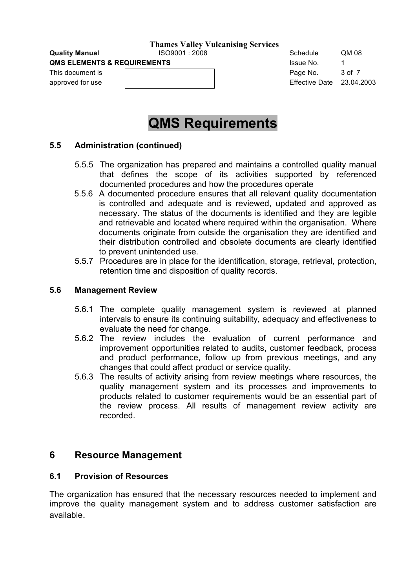**QMS ELEMENTS & REQUIREMENTS ISSUE NO.** 1

This document is **Example 2** of 7 and 2 of 7 and 2 of 7 and 2 of 7 and 2 of 7 and 2 of 7 and 2 of 7 and 2 of 7 and 2 of 7 and 2 of 7 and 2 of 7 and 2 of 7 and 2 of 7 and 2 of 7 and 2 of 7 and 2 of 7 and 2 of 7 and 2 of 7 a

**Quality Manual**   $1$ SO9001 : 2008 **Schedule** QM 08 approved for use Effective Date 23.04.2003

### **QMS Requirements**

#### **5.5 Administration (continued)**

- 5.5.5 The organization has prepared and maintains a controlled quality manual that defines the scope of its activities supported by referenced documented procedures and how the procedures operate
- 5.5.6 A documented procedure ensures that all relevant quality documentation is controlled and adequate and is reviewed, updated and approved as necessary. The status of the documents is identified and they are legible and retrievable and located where required within the organisation. Where documents originate from outside the organisation they are identified and their distribution controlled and obsolete documents are clearly identified to prevent unintended use.
- 5.5.7 Procedures are in place for the identification, storage, retrieval, protection, retention time and disposition of quality records.

#### **5.6 Management Review**

- 5.6.1 The complete quality management system is reviewed at planned intervals to ensure its continuing suitability, adequacy and effectiveness to evaluate the need for change.
- 5.6.2 The review includes the evaluation of current performance and improvement opportunities related to audits, customer feedback, process and product performance, follow up from previous meetings, and any changes that could affect product or service quality.
- 5.6.3 The results of activity arising from review meetings where resources, the quality management system and its processes and improvements to products related to customer requirements would be an essential part of the review process. All results of management review activity are recorded.

#### **6 Resource Management**

#### **6.1 Provision of Resources**

The organization has ensured that the necessary resources needed to implement and improve the quality management system and to address customer satisfaction are available.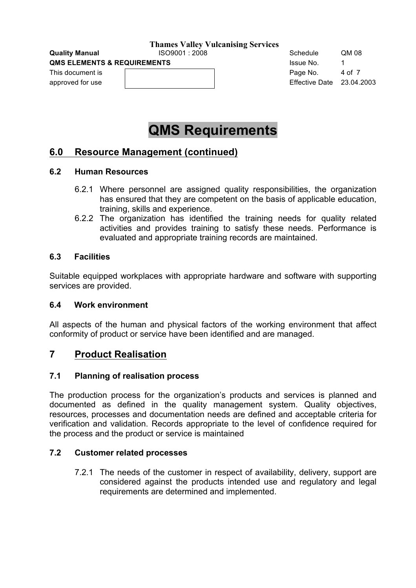**QMS ELEMENTS & REQUIREMENTS ISSUE NO.** 1

This document is **Page No.** 4 of 7

**Quality Manual**   $1$ SO9001 : 2008 **Schedule** QM 08 approved for use Effective Date 23.04.2003

### **QMS Requirements**

### **6.0 Resource Management (continued)**

#### **6.2 Human Resources**

- 6.2.1 Where personnel are assigned quality responsibilities, the organization has ensured that they are competent on the basis of applicable education, training, skills and experience.
- 6.2.2 The organization has identified the training needs for quality related activities and provides training to satisfy these needs. Performance is evaluated and appropriate training records are maintained.

#### **6.3 Facilities**

Suitable equipped workplaces with appropriate hardware and software with supporting services are provided.

#### **6.4 Work environment**

All aspects of the human and physical factors of the working environment that affect conformity of product or service have been identified and are managed.

#### **7 Product Realisation**

#### **7.1 Planning of realisation process**

The production process for the organization's products and services is planned and documented as defined in the quality management system. Quality objectives, resources, processes and documentation needs are defined and acceptable criteria for verification and validation. Records appropriate to the level of confidence required for the process and the product or service is maintained

#### **7.2 Customer related processes**

7.2.1 The needs of the customer in respect of availability, delivery, support are considered against the products intended use and regulatory and legal requirements are determined and implemented.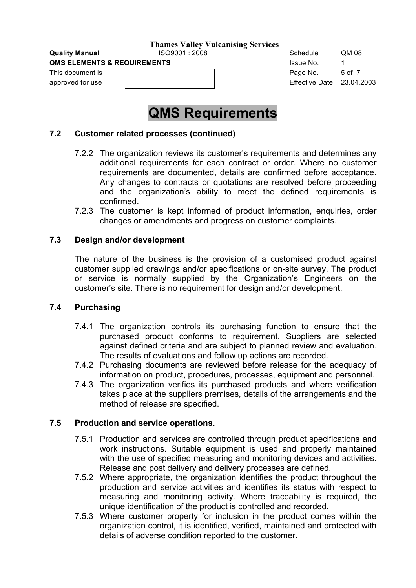**QMS ELEMENTS & REQUIREMENTS ISSUE NO.** 1581 1581 1591 1592

This document is **Example 2** of 7 and 2 of 7 and 2 of 7 and 2 of 7 and 2 of 7 and 2 of 7 and 2 of 7 and 2 of 7 and 2 of 7 and 2 of 7 and 2 of 7 and 2 of 7 and 2 of 7 and 2 of 7 and 2 of 7 and 2 of 7 and 2 of 7 and 2 of 7 a

# **Quality Manual**   $1$ SO9001 : 2008 **Schedule** QM 08 approved for use Effective Date 23.04.2003

### **QMS Requirements**

#### **7.2 Customer related processes (continued)**

- 7.2.2 The organization reviews its customer's requirements and determines any additional requirements for each contract or order. Where no customer requirements are documented, details are confirmed before acceptance. Any changes to contracts or quotations are resolved before proceeding and the organization's ability to meet the defined requirements is confirmed.
- 7.2.3 The customer is kept informed of product information, enquiries, order changes or amendments and progress on customer complaints.

#### **7.3 Design and/or development**

The nature of the business is the provision of a customised product against customer supplied drawings and/or specifications or on-site survey. The product or service is normally supplied by the Organization's Engineers on the customer's site. There is no requirement for design and/or development.

#### **7.4 Purchasing**

- 7.4.1 The organization controls its purchasing function to ensure that the purchased product conforms to requirement. Suppliers are selected against defined criteria and are subject to planned review and evaluation. The results of evaluations and follow up actions are recorded.
- 7.4.2 Purchasing documents are reviewed before release for the adequacy of information on product, procedures, processes, equipment and personnel.
- 7.4.3 The organization verifies its purchased products and where verification takes place at the suppliers premises, details of the arrangements and the method of release are specified.

#### **7.5 Production and service operations.**

- 7.5.1 Production and services are controlled through product specifications and work instructions. Suitable equipment is used and properly maintained with the use of specified measuring and monitoring devices and activities. Release and post delivery and delivery processes are defined.
- 7.5.2 Where appropriate, the organization identifies the product throughout the production and service activities and identifies its status with respect to measuring and monitoring activity. Where traceability is required, the unique identification of the product is controlled and recorded.
- 7.5.3 Where customer property for inclusion in the product comes within the organization control, it is identified, verified, maintained and protected with details of adverse condition reported to the customer.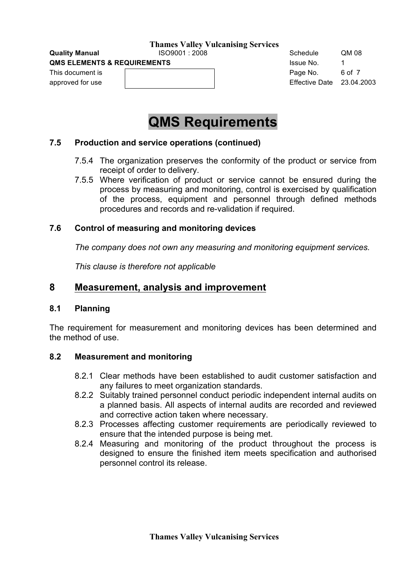**QMS ELEMENTS & REQUIREMENTS ISSUE NO.** 1

This document is **Example 2** of 7 and 2 of 7 and 2 of 7 and 2 of 7 and 2 of 7 and 2 of 7 and 2 of 7 and 2 of 7 and 2 of 7 and 2 of 7 and 2 of 7 and 2 of 7 and 2 of 7 and 2 of 7 and 2 of 7 and 2 of 7 and 2 of 7 and 2 of 7 a

**Quality Manual**   $1$ SO9001 : 2008 **Schedule** QM 08 approved for use **Effective Date 23.04.2003** 

### **QMS Requirements**

#### **7.5 Production and service operations (continued)**

- 7.5.4 The organization preserves the conformity of the product or service from receipt of order to delivery.
- 7.5.5 Where verification of product or service cannot be ensured during the process by measuring and monitoring, control is exercised by qualification of the process, equipment and personnel through defined methods procedures and records and re-validation if required.

#### **7.6 Control of measuring and monitoring devices**

*The company does not own any measuring and monitoring equipment services.* 

*This clause is therefore not applicable*

### **8 Measurement, analysis and improvement**

#### **8.1 Planning**

The requirement for measurement and monitoring devices has been determined and the method of use.

#### **8.2 Measurement and monitoring**

- 8.2.1 Clear methods have been established to audit customer satisfaction and any failures to meet organization standards.
- 8.2.2 Suitably trained personnel conduct periodic independent internal audits on a planned basis. All aspects of internal audits are recorded and reviewed and corrective action taken where necessary.
- 8.2.3 Processes affecting customer requirements are periodically reviewed to ensure that the intended purpose is being met.
- 8.2.4 Measuring and monitoring of the product throughout the process is designed to ensure the finished item meets specification and authorised personnel control its release.